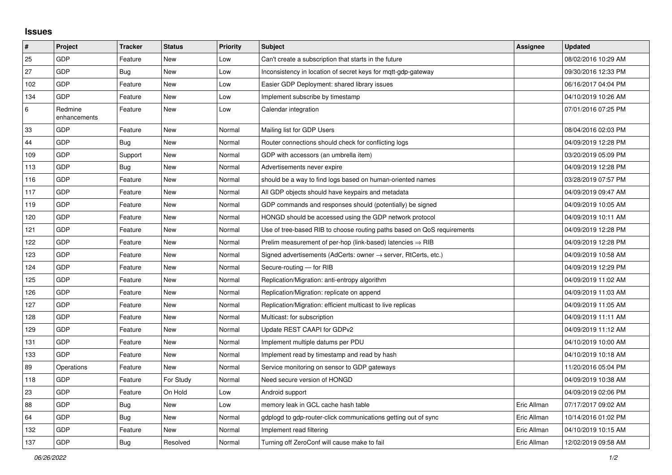## **Issues**

| #   | Project                 | <b>Tracker</b> | <b>Status</b> | <b>Priority</b> | <b>Subject</b>                                                             | <b>Assignee</b> | <b>Updated</b>      |
|-----|-------------------------|----------------|---------------|-----------------|----------------------------------------------------------------------------|-----------------|---------------------|
| 25  | GDP                     | Feature        | <b>New</b>    | Low             | Can't create a subscription that starts in the future                      |                 | 08/02/2016 10:29 AM |
| 27  | GDP                     | Bug            | <b>New</b>    | Low             | Inconsistency in location of secret keys for mgtt-gdp-gateway              |                 | 09/30/2016 12:33 PM |
| 102 | GDP                     | Feature        | New           | Low             | Easier GDP Deployment: shared library issues                               |                 | 06/16/2017 04:04 PM |
| 134 | GDP                     | Feature        | <b>New</b>    | Low             | Implement subscribe by timestamp                                           |                 | 04/10/2019 10:26 AM |
| 6   | Redmine<br>enhancements | Feature        | <b>New</b>    | Low             | Calendar integration                                                       |                 | 07/01/2016 07:25 PM |
| 33  | GDP                     | Feature        | <b>New</b>    | Normal          | Mailing list for GDP Users                                                 |                 | 08/04/2016 02:03 PM |
| 44  | GDP                     | <b>Bug</b>     | <b>New</b>    | Normal          | Router connections should check for conflicting logs                       |                 | 04/09/2019 12:28 PM |
| 109 | GDP                     | Support        | New           | Normal          | GDP with accessors (an umbrella item)                                      |                 | 03/20/2019 05:09 PM |
| 113 | GDP                     | <b>Bug</b>     | New           | Normal          | Advertisements never expire                                                |                 | 04/09/2019 12:28 PM |
| 116 | GDP                     | Feature        | <b>New</b>    | Normal          | should be a way to find logs based on human-oriented names                 |                 | 03/28/2019 07:57 PM |
| 117 | GDP                     | Feature        | <b>New</b>    | Normal          | All GDP objects should have keypairs and metadata                          |                 | 04/09/2019 09:47 AM |
| 119 | GDP                     | Feature        | <b>New</b>    | Normal          | GDP commands and responses should (potentially) be signed                  |                 | 04/09/2019 10:05 AM |
| 120 | GDP                     | Feature        | <b>New</b>    | Normal          | HONGD should be accessed using the GDP network protocol                    |                 | 04/09/2019 10:11 AM |
| 121 | GDP                     | Feature        | <b>New</b>    | Normal          | Use of tree-based RIB to choose routing paths based on QoS requirements    |                 | 04/09/2019 12:28 PM |
| 122 | GDP                     | Feature        | <b>New</b>    | Normal          | Prelim measurement of per-hop (link-based) latencies $\Rightarrow$ RIB     |                 | 04/09/2019 12:28 PM |
| 123 | GDP                     | Feature        | <b>New</b>    | Normal          | Signed advertisements (AdCerts: owner $\rightarrow$ server, RtCerts, etc.) |                 | 04/09/2019 10:58 AM |
| 124 | GDP                     | Feature        | <b>New</b>    | Normal          | Secure-routing - for RIB                                                   |                 | 04/09/2019 12:29 PM |
| 125 | GDP                     | Feature        | <b>New</b>    | Normal          | Replication/Migration: anti-entropy algorithm                              |                 | 04/09/2019 11:02 AM |
| 126 | GDP                     | Feature        | New           | Normal          | Replication/Migration: replicate on append                                 |                 | 04/09/2019 11:03 AM |
| 127 | GDP                     | Feature        | <b>New</b>    | Normal          | Replication/Migration: efficient multicast to live replicas                |                 | 04/09/2019 11:05 AM |
| 128 | GDP                     | Feature        | <b>New</b>    | Normal          | Multicast: for subscription                                                |                 | 04/09/2019 11:11 AM |
| 129 | GDP                     | Feature        | <b>New</b>    | Normal          | Update REST CAAPI for GDPv2                                                |                 | 04/09/2019 11:12 AM |
| 131 | GDP                     | Feature        | <b>New</b>    | Normal          | Implement multiple datums per PDU                                          |                 | 04/10/2019 10:00 AM |
| 133 | <b>GDP</b>              | Feature        | <b>New</b>    | Normal          | Implement read by timestamp and read by hash                               |                 | 04/10/2019 10:18 AM |
| 89  | Operations              | Feature        | <b>New</b>    | Normal          | Service monitoring on sensor to GDP gateways                               |                 | 11/20/2016 05:04 PM |
| 118 | GDP                     | Feature        | For Study     | Normal          | Need secure version of HONGD                                               |                 | 04/09/2019 10:38 AM |
| 23  | GDP                     | Feature        | On Hold       | Low             | Android support                                                            |                 | 04/09/2019 02:06 PM |
| 88  | GDP                     | <b>Bug</b>     | <b>New</b>    | Low             | memory leak in GCL cache hash table                                        | Eric Allman     | 07/17/2017 09:02 AM |
| 64  | GDP                     | Bug            | New           | Normal          | gdplogd to gdp-router-click communications getting out of sync             | Eric Allman     | 10/14/2016 01:02 PM |
| 132 | GDP                     | Feature        | <b>New</b>    | Normal          | Implement read filtering                                                   | Eric Allman     | 04/10/2019 10:15 AM |
| 137 | GDP                     | <b>Bug</b>     | Resolved      | Normal          | Turning off ZeroConf will cause make to fail                               | Eric Allman     | 12/02/2019 09:58 AM |